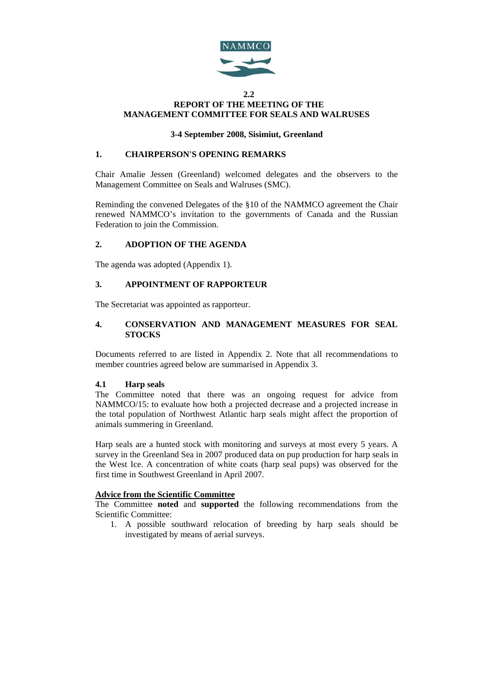

### **2.2 REPORT OF THE MEETING OF THE MANAGEMENT COMMITTEE FOR SEALS AND WALRUSES**

## **3-4 September 2008, Sisimiut, Greenland**

## **1. CHAIRPERSON'S OPENING REMARKS**

Chair Amalie Jessen (Greenland) welcomed delegates and the observers to the Management Committee on Seals and Walruses (SMC).

Reminding the convened Delegates of the §10 of the NAMMCO agreement the Chair renewed NAMMCO's invitation to the governments of Canada and the Russian Federation to join the Commission.

## **2. ADOPTION OF THE AGENDA**

The agenda was adopted (Appendix 1).

## **3. APPOINTMENT OF RAPPORTEUR**

The Secretariat was appointed as rapporteur.

## **4. CONSERVATION AND MANAGEMENT MEASURES FOR SEAL STOCKS**

Documents referred to are listed in Appendix 2. Note that all recommendations to member countries agreed below are summarised in Appendix 3.

## **4.1 Harp seals**

The Committee noted that there was an ongoing request for advice from NAMMCO/15: to evaluate how both a projected decrease and a projected increase in the total population of Northwest Atlantic harp seals might affect the proportion of animals summering in Greenland.

Harp seals are a hunted stock with monitoring and surveys at most every 5 years. A survey in the Greenland Sea in 2007 produced data on pup production for harp seals in the West Ice. A concentration of white coats (harp seal pups) was observed for the first time in Southwest Greenland in April 2007.

## **Advice from the Scientific Committee**

The Committee **noted** and **supported** the following recommendations from the Scientific Committee:

1. A possible southward relocation of breeding by harp seals should be investigated by means of aerial surveys.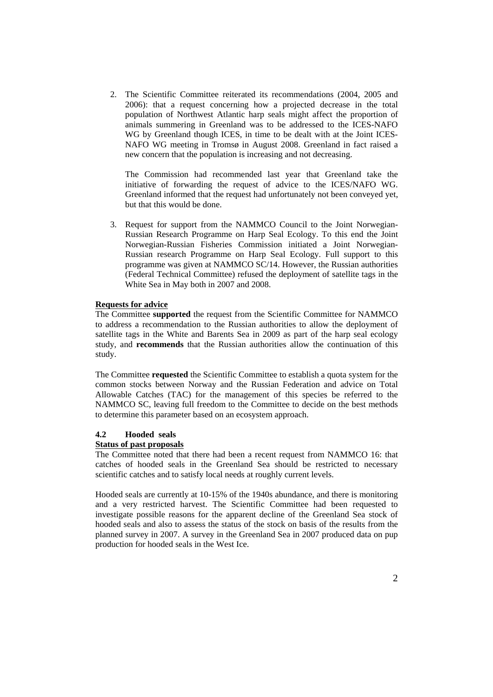2. The Scientific Committee reiterated its recommendations (2004, 2005 and 2006): that a request concerning how a projected decrease in the total population of Northwest Atlantic harp seals might affect the proportion of animals summering in Greenland was to be addressed to the ICES-NAFO WG by Greenland though ICES, in time to be dealt with at the Joint ICES-NAFO WG meeting in Tromsø in August 2008. Greenland in fact raised a new concern that the population is increasing and not decreasing.

The Commission had recommended last year that Greenland take the initiative of forwarding the request of advice to the ICES/NAFO WG. Greenland informed that the request had unfortunately not been conveyed yet, but that this would be done.

3. Request for support from the NAMMCO Council to the Joint Norwegian-Russian Research Programme on Harp Seal Ecology. To this end the Joint Norwegian-Russian Fisheries Commission initiated a Joint Norwegian-Russian research Programme on Harp Seal Ecology. Full support to this programme was given at NAMMCO SC/14. However, the Russian authorities (Federal Technical Committee) refused the deployment of satellite tags in the White Sea in May both in 2007 and 2008.

### **Requests for advice**

The Committee **supported** the request from the Scientific Committee for NAMMCO to address a recommendation to the Russian authorities to allow the deployment of satellite tags in the White and Barents Sea in 2009 as part of the harp seal ecology study, and **recommends** that the Russian authorities allow the continuation of this study.

The Committee **requested** the Scientific Committee to establish a quota system for the common stocks between Norway and the Russian Federation and advice on Total Allowable Catches (TAC) for the management of this species be referred to the NAMMCO SC, leaving full freedom to the Committee to decide on the best methods to determine this parameter based on an ecosystem approach.

#### **4.2 Hooded seals**

### **Status of past proposals**

The Committee noted that there had been a recent request from NAMMCO 16: that catches of hooded seals in the Greenland Sea should be restricted to necessary scientific catches and to satisfy local needs at roughly current levels.

Hooded seals are currently at 10-15% of the 1940s abundance, and there is monitoring and a very restricted harvest. The Scientific Committee had been requested to investigate possible reasons for the apparent decline of the Greenland Sea stock of hooded seals and also to assess the status of the stock on basis of the results from the planned survey in 2007. A survey in the Greenland Sea in 2007 produced data on pup production for hooded seals in the West Ice.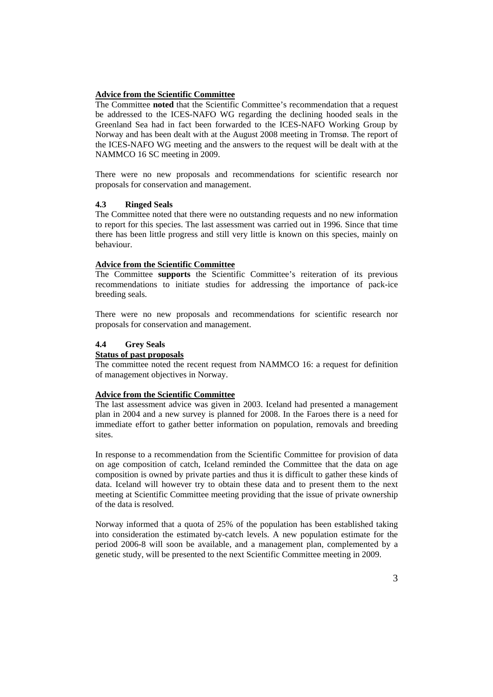### **Advice from the Scientific Committee**

The Committee **noted** that the Scientific Committee's recommendation that a request be addressed to the ICES-NAFO WG regarding the declining hooded seals in the Greenland Sea had in fact been forwarded to the ICES-NAFO Working Group by Norway and has been dealt with at the August 2008 meeting in Tromsø. The report of the ICES-NAFO WG meeting and the answers to the request will be dealt with at the NAMMCO 16 SC meeting in 2009.

There were no new proposals and recommendations for scientific research nor proposals for conservation and management.

#### **4.3 Ringed Seals**

The Committee noted that there were no outstanding requests and no new information to report for this species. The last assessment was carried out in 1996. Since that time there has been little progress and still very little is known on this species, mainly on behaviour.

#### **Advice from the Scientific Committee**

The Committee **supports** the Scientific Committee's reiteration of its previous recommendations to initiate studies for addressing the importance of pack-ice breeding seals.

There were no new proposals and recommendations for scientific research nor proposals for conservation and management.

#### **4.4 Grey Seals**

### **Status of past proposals**

The committee noted the recent request from NAMMCO 16: a request for definition of management objectives in Norway.

#### **Advice from the Scientific Committee**

The last assessment advice was given in 2003. Iceland had presented a management plan in 2004 and a new survey is planned for 2008. In the Faroes there is a need for immediate effort to gather better information on population, removals and breeding sites.

In response to a recommendation from the Scientific Committee for provision of data on age composition of catch, Iceland reminded the Committee that the data on age composition is owned by private parties and thus it is difficult to gather these kinds of data. Iceland will however try to obtain these data and to present them to the next meeting at Scientific Committee meeting providing that the issue of private ownership of the data is resolved.

Norway informed that a quota of 25% of the population has been established taking into consideration the estimated by-catch levels. A new population estimate for the period 2006-8 will soon be available, and a management plan, complemented by a genetic study, will be presented to the next Scientific Committee meeting in 2009.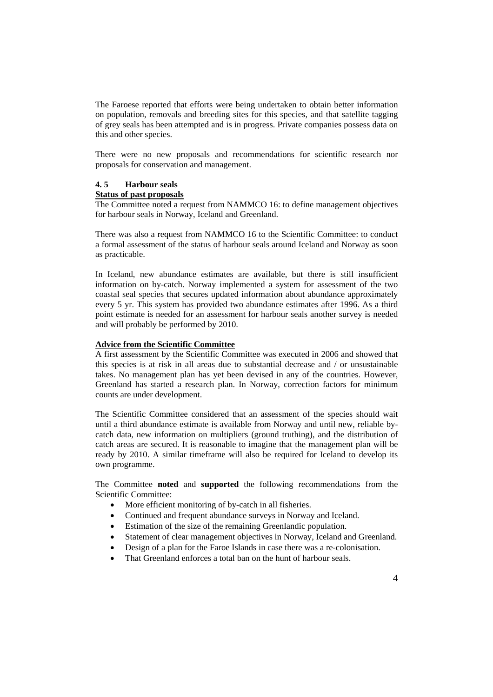The Faroese reported that efforts were being undertaken to obtain better information on population, removals and breeding sites for this species, and that satellite tagging of grey seals has been attempted and is in progress. Private companies possess data on this and other species.

There were no new proposals and recommendations for scientific research nor proposals for conservation and management.

#### **4. 5 Harbour seals**

### **Status of past proposals**

The Committee noted a request from NAMMCO 16: to define management objectives for harbour seals in Norway, Iceland and Greenland.

There was also a request from NAMMCO 16 to the Scientific Committee: to conduct a formal assessment of the status of harbour seals around Iceland and Norway as soon as practicable.

In Iceland, new abundance estimates are available, but there is still insufficient information on by-catch. Norway implemented a system for assessment of the two coastal seal species that secures updated information about abundance approximately every 5 yr. This system has provided two abundance estimates after 1996. As a third point estimate is needed for an assessment for harbour seals another survey is needed and will probably be performed by 2010.

## **Advice from the Scientific Committee**

A first assessment by the Scientific Committee was executed in 2006 and showed that this species is at risk in all areas due to substantial decrease and / or unsustainable takes. No management plan has yet been devised in any of the countries. However, Greenland has started a research plan. In Norway, correction factors for minimum counts are under development.

The Scientific Committee considered that an assessment of the species should wait until a third abundance estimate is available from Norway and until new, reliable bycatch data, new information on multipliers (ground truthing), and the distribution of catch areas are secured. It is reasonable to imagine that the management plan will be ready by 2010. A similar timeframe will also be required for Iceland to develop its own programme.

The Committee **noted** and **supported** the following recommendations from the Scientific Committee:

- More efficient monitoring of by-catch in all fisheries.
- Continued and frequent abundance surveys in Norway and Iceland.
- Estimation of the size of the remaining Greenlandic population.
- Statement of clear management objectives in Norway, Iceland and Greenland.
- Design of a plan for the Faroe Islands in case there was a re-colonisation.
- That Greenland enforces a total ban on the hunt of harbour seals.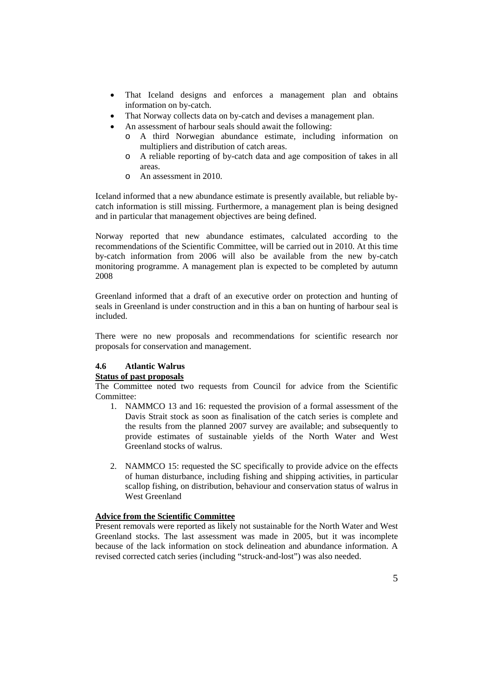- That Iceland designs and enforces a management plan and obtains information on by-catch.
- That Norway collects data on by-catch and devises a management plan.
- An assessment of harbour seals should await the following:
	- o A third Norwegian abundance estimate, including information on multipliers and distribution of catch areas.
	- o A reliable reporting of by-catch data and age composition of takes in all areas.
	- o An assessment in 2010.

Iceland informed that a new abundance estimate is presently available, but reliable bycatch information is still missing. Furthermore, a management plan is being designed and in particular that management objectives are being defined.

Norway reported that new abundance estimates, calculated according to the recommendations of the Scientific Committee, will be carried out in 2010. At this time by-catch information from 2006 will also be available from the new by-catch monitoring programme. A management plan is expected to be completed by autumn 2008

Greenland informed that a draft of an executive order on protection and hunting of seals in Greenland is under construction and in this a ban on hunting of harbour seal is included.

There were no new proposals and recommendations for scientific research nor proposals for conservation and management.

# **4.6 Atlantic Walrus**

### **Status of past proposals**

The Committee noted two requests from Council for advice from the Scientific Committee:

- 1. NAMMCO 13 and 16: requested the provision of a formal assessment of the Davis Strait stock as soon as finalisation of the catch series is complete and the results from the planned 2007 survey are available; and subsequently to provide estimates of sustainable yields of the North Water and West Greenland stocks of walrus.
- 2. NAMMCO 15: requested the SC specifically to provide advice on the effects of human disturbance, including fishing and shipping activities, in particular scallop fishing, on distribution, behaviour and conservation status of walrus in West Greenland

# **Advice from the Scientific Committee**

Present removals were reported as likely not sustainable for the North Water and West Greenland stocks. The last assessment was made in 2005, but it was incomplete because of the lack information on stock delineation and abundance information. A revised corrected catch series (including "struck-and-lost") was also needed.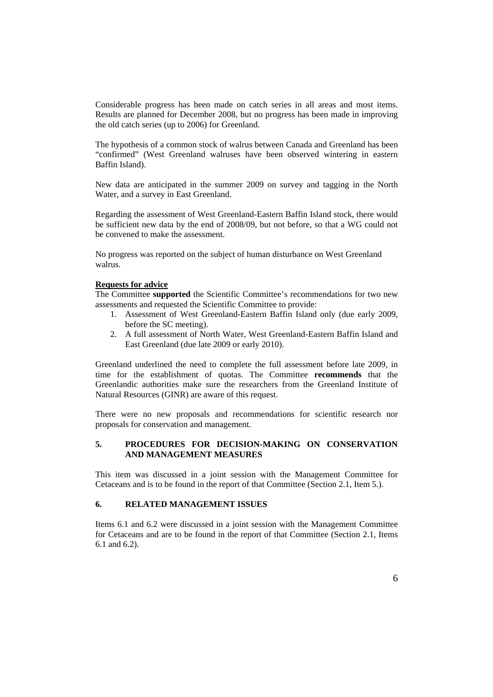Considerable progress has been made on catch series in all areas and most items. Results are planned for December 2008, but no progress has been made in improving the old catch series (up to 2006) for Greenland.

The hypothesis of a common stock of walrus between Canada and Greenland has been "confirmed" (West Greenland walruses have been observed wintering in eastern Baffin Island).

New data are anticipated in the summer 2009 on survey and tagging in the North Water, and a survey in East Greenland.

Regarding the assessment of West Greenland-Eastern Baffin Island stock, there would be sufficient new data by the end of 2008/09, but not before, so that a WG could not be convened to make the assessment.

No progress was reported on the subject of human disturbance on West Greenland walrus.

### **Requests for advice**

The Committee **supported** the Scientific Committee's recommendations for two new assessments and requested the Scientific Committee to provide:

- 1. Assessment of West Greenland-Eastern Baffin Island only (due early 2009, before the SC meeting).
- 2. A full assessment of North Water, West Greenland-Eastern Baffin Island and East Greenland (due late 2009 or early 2010).

Greenland underlined the need to complete the full assessment before late 2009, in time for the establishment of quotas. The Committee **recommends** that the Greenlandic authorities make sure the researchers from the Greenland Institute of Natural Resources (GINR) are aware of this request.

There were no new proposals and recommendations for scientific research nor proposals for conservation and management.

## **5. PROCEDURES FOR DECISION-MAKING ON CONSERVATION AND MANAGEMENT MEASURES**

This item was discussed in a joint session with the Management Committee for Cetaceans and is to be found in the report of that Committee (Section 2.1, Item 5.).

### **6. RELATED MANAGEMENT ISSUES**

Items 6.1 and 6.2 were discussed in a joint session with the Management Committee for Cetaceans and are to be found in the report of that Committee (Section 2.1, Items 6.1 and 6.2).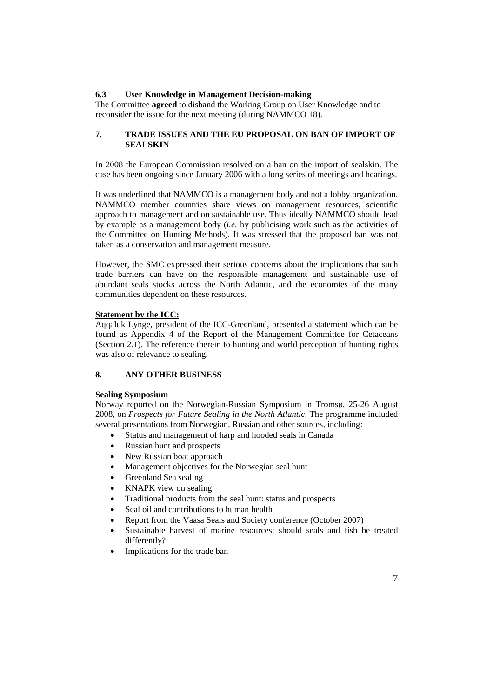### **6.3 User Knowledge in Management Decision-making**

The Committee **agreed** to disband the Working Group on User Knowledge and to reconsider the issue for the next meeting (during NAMMCO 18).

### **7. TRADE ISSUES AND THE EU PROPOSAL ON BAN OF IMPORT OF SEALSKIN**

In 2008 the European Commission resolved on a ban on the import of sealskin. The case has been ongoing since January 2006 with a long series of meetings and hearings.

It was underlined that NAMMCO is a management body and not a lobby organization. NAMMCO member countries share views on management resources, scientific approach to management and on sustainable use. Thus ideally NAMMCO should lead by example as a management body (*i.e.* by publicising work such as the activities of the Committee on Hunting Methods). It was stressed that the proposed ban was not taken as a conservation and management measure.

However, the SMC expressed their serious concerns about the implications that such trade barriers can have on the responsible management and sustainable use of abundant seals stocks across the North Atlantic, and the economies of the many communities dependent on these resources.

### **Statement by the ICC:**

Aqqaluk Lynge, president of the ICC-Greenland, presented a statement which can be found as Appendix 4 of the Report of the Management Committee for Cetaceans (Section 2.1). The reference therein to hunting and world perception of hunting rights was also of relevance to sealing.

## **8. ANY OTHER BUSINESS**

### **Sealing Symposium**

Norway reported on the Norwegian-Russian Symposium in Tromsø, 25-26 August 2008, on *Prospects for Future Sealing in the North Atlantic*. The programme included several presentations from Norwegian, Russian and other sources, including:

- Status and management of harp and hooded seals in Canada
- Russian hunt and prospects
- New Russian boat approach
- Management objectives for the Norwegian seal hunt
- Greenland Sea sealing
- KNAPK view on sealing
- Traditional products from the seal hunt: status and prospects
- Seal oil and contributions to human health
- Report from the Vaasa Seals and Society conference (October 2007)
- Sustainable harvest of marine resources: should seals and fish be treated differently?
- Implications for the trade ban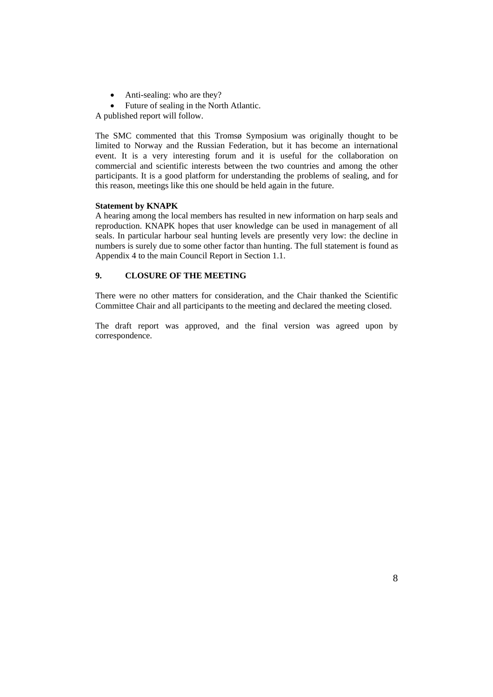- Anti-sealing: who are they?
- Future of sealing in the North Atlantic.

A published report will follow.

The SMC commented that this Tromsø Symposium was originally thought to be limited to Norway and the Russian Federation, but it has become an international event. It is a very interesting forum and it is useful for the collaboration on commercial and scientific interests between the two countries and among the other participants. It is a good platform for understanding the problems of sealing, and for this reason, meetings like this one should be held again in the future.

### **Statement by KNAPK**

A hearing among the local members has resulted in new information on harp seals and reproduction. KNAPK hopes that user knowledge can be used in management of all seals. In particular harbour seal hunting levels are presently very low: the decline in numbers is surely due to some other factor than hunting. The full statement is found as Appendix 4 to the main Council Report in Section 1.1.

## **9. CLOSURE OF THE MEETING**

There were no other matters for consideration, and the Chair thanked the Scientific Committee Chair and all participants to the meeting and declared the meeting closed.

The draft report was approved, and the final version was agreed upon by correspondence.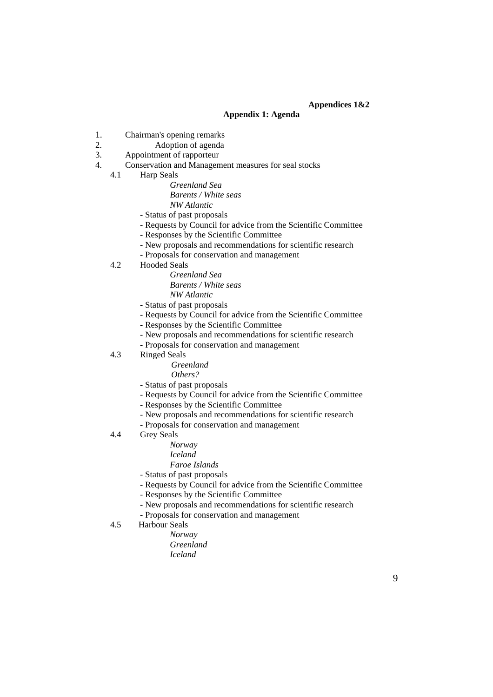## **Appendices 1&2**

### **Appendix 1: Agenda**

- 1. Chairman's opening remarks
- 2. Adoption of agenda
- 3. Appointment of rapporteur
- 4. Conservation and Management measures for seal stocks
	- 4.1 Harp Seals

*Greenland Sea Barents / White seas NW Atlantic* 

- Status of past proposals
- Requests by Council for advice from the Scientific Committee
- Responses by the Scientific Committee
- New proposals and recommendations for scientific research
- Proposals for conservation and management
- 4.2 Hooded Seals

*Greenland Sea Barents / White seas NW Atlantic* 

- Status of past proposals
- Requests by Council for advice from the Scientific Committee
- Responses by the Scientific Committee
- New proposals and recommendations for scientific research
- Proposals for conservation and management
- 4.3 Ringed Seals

*Greenland* 

 *Others?* 

- Status of past proposals
- Requests by Council for advice from the Scientific Committee
- Responses by the Scientific Committee
- New proposals and recommendations for scientific research
- Proposals for conservation and management
- 4.4 Grey Seals
	- *Norway*
	- *Iceland*
	- *Faroe Islands*
	- Status of past proposals
	- Requests by Council for advice from the Scientific Committee
	- Responses by the Scientific Committee
	- New proposals and recommendations for scientific research
	- Proposals for conservation and management
- 4.5 Harbour Seals
	- *Norway* 
		- *Greenland Iceland*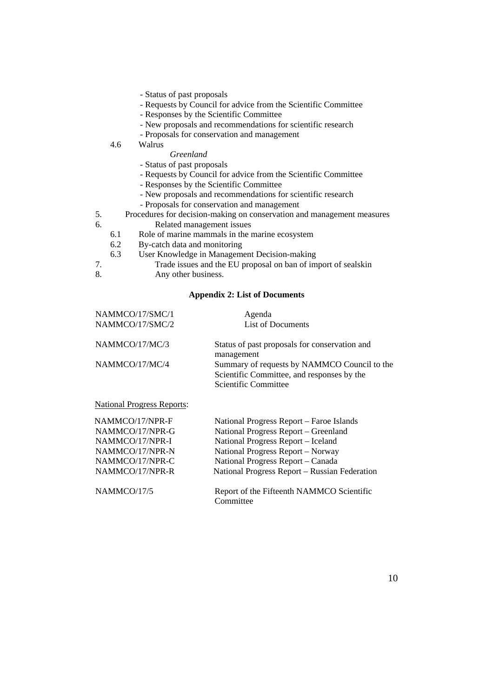- Status of past proposals
- Requests by Council for advice from the Scientific Committee
- Responses by the Scientific Committee
- New proposals and recommendations for scientific research
- Proposals for conservation and management
- 4.6 Walrus

### *Greenland*

- Status of past proposals
- Requests by Council for advice from the Scientific Committee
- Responses by the Scientific Committee
- New proposals and recommendations for scientific research
- Proposals for conservation and management
- 5. Procedures for decision-making on conservation and management measures<br>6. Related management issues Related management issues
	- 6.1 Role of marine mammals in the marine ecosystem
	- 6.2 By-catch data and monitoring
		- 6.3 User Knowledge in Management Decision-making
- 7. Trade issues and the EU proposal on ban of import of sealskin
- 8. Any other business.

## **Appendix 2: List of Documents**

| NAMMCO/17/SMC/1                   | Agenda                                                                                                                    |
|-----------------------------------|---------------------------------------------------------------------------------------------------------------------------|
| NAMMCO/17/SMC/2                   | <b>List of Documents</b>                                                                                                  |
| NAMMCO/17/MC/3                    | Status of past proposals for conservation and<br>management                                                               |
| NAMMCO/17/MC/4                    | Summary of requests by NAMMCO Council to the<br>Scientific Committee, and responses by the<br><b>Scientific Committee</b> |
| <b>National Progress Reports:</b> |                                                                                                                           |
| NAMMCO/17/NPR-F                   | National Progress Report – Faroe Islands                                                                                  |
| NAMMCO/17/NPR-G                   | National Progress Report - Greenland                                                                                      |
| NAMMCO/17/NPR-I                   | National Progress Report - Iceland                                                                                        |
| NAMMCO/17/NPR-N                   | National Progress Report - Norway                                                                                         |
| NAMMCO/17/NPR-C                   | National Progress Report – Canada                                                                                         |
| NAMMCO/17/NPR-R                   | National Progress Report – Russian Federation                                                                             |
| NAMMCO/17/5                       | Report of the Fifteenth NAMMCO Scientific                                                                                 |

Committee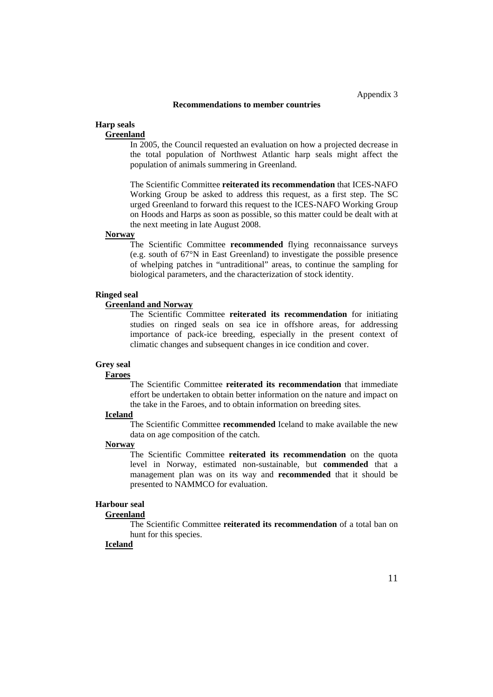#### **Recommendations to member countries**

#### **Harp seals**

### **Greenland**

In 2005, the Council requested an evaluation on how a projected decrease in the total population of Northwest Atlantic harp seals might affect the population of animals summering in Greenland.

The Scientific Committee **reiterated its recommendation** that ICES-NAFO Working Group be asked to address this request, as a first step. The SC urged Greenland to forward this request to the ICES-NAFO Working Group on Hoods and Harps as soon as possible, so this matter could be dealt with at the next meeting in late August 2008.

#### **Norway**

The Scientific Committee **recommended** flying reconnaissance surveys (e.g. south of 67°N in East Greenland) to investigate the possible presence of whelping patches in "untraditional" areas, to continue the sampling for biological parameters, and the characterization of stock identity.

### **Ringed seal**

### **Greenland and Norway**

The Scientific Committee **reiterated its recommendation** for initiating studies on ringed seals on sea ice in offshore areas, for addressing importance of pack-ice breeding, especially in the present context of climatic changes and subsequent changes in ice condition and cover.

#### **Grey seal**

### **Faroes**

The Scientific Committee **reiterated its recommendation** that immediate effort be undertaken to obtain better information on the nature and impact on the take in the Faroes, and to obtain information on breeding sites.

## **Iceland**

The Scientific Committee **recommended** Iceland to make available the new data on age composition of the catch.

### **Norway**

The Scientific Committee **reiterated its recommendation** on the quota level in Norway, estimated non-sustainable, but **commended** that a management plan was on its way and **recommended** that it should be presented to NAMMCO for evaluation.

#### **Harbour seal**

#### **Greenland**

The Scientific Committee **reiterated its recommendation** of a total ban on hunt for this species.

#### **Iceland**